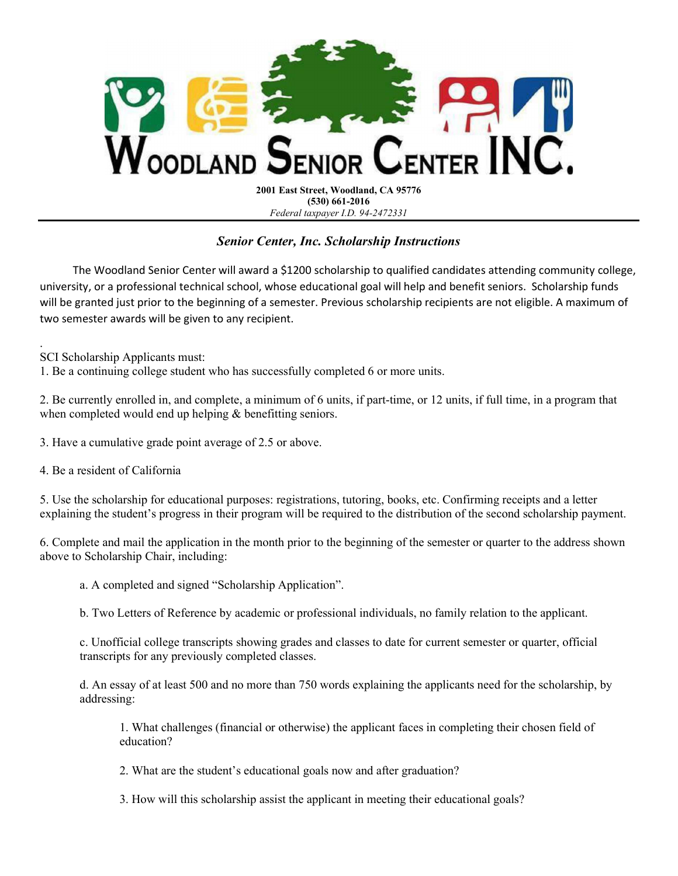

2001 East Street, Woodland, CA 95776 (530) 661-2016 Federal taxpayer I.D. 94-2472331

## Senior Center, Inc. Scholarship Instructions

 The Woodland Senior Center will award a \$1200 scholarship to qualified candidates attending community college, university, or a professional technical school, whose educational goal will help and benefit seniors. Scholarship funds will be granted just prior to the beginning of a semester. Previous scholarship recipients are not eligible. A maximum of two semester awards will be given to any recipient.

. SCI Scholarship Applicants must:

1. Be a continuing college student who has successfully completed 6 or more units.

2. Be currently enrolled in, and complete, a minimum of 6 units, if part-time, or 12 units, if full time, in a program that when completed would end up helping & benefitting seniors.

3. Have a cumulative grade point average of 2.5 or above.

4. Be a resident of California

5. Use the scholarship for educational purposes: registrations, tutoring, books, etc. Confirming receipts and a letter explaining the student's progress in their program will be required to the distribution of the second scholarship payment.

6. Complete and mail the application in the month prior to the beginning of the semester or quarter to the address shown above to Scholarship Chair, including:

a. A completed and signed "Scholarship Application".

b. Two Letters of Reference by academic or professional individuals, no family relation to the applicant.

c. Unofficial college transcripts showing grades and classes to date for current semester or quarter, official transcripts for any previously completed classes.

d. An essay of at least 500 and no more than 750 words explaining the applicants need for the scholarship, by addressing:

1. What challenges (financial or otherwise) the applicant faces in completing their chosen field of education?

2. What are the student's educational goals now and after graduation?

3. How will this scholarship assist the applicant in meeting their educational goals?